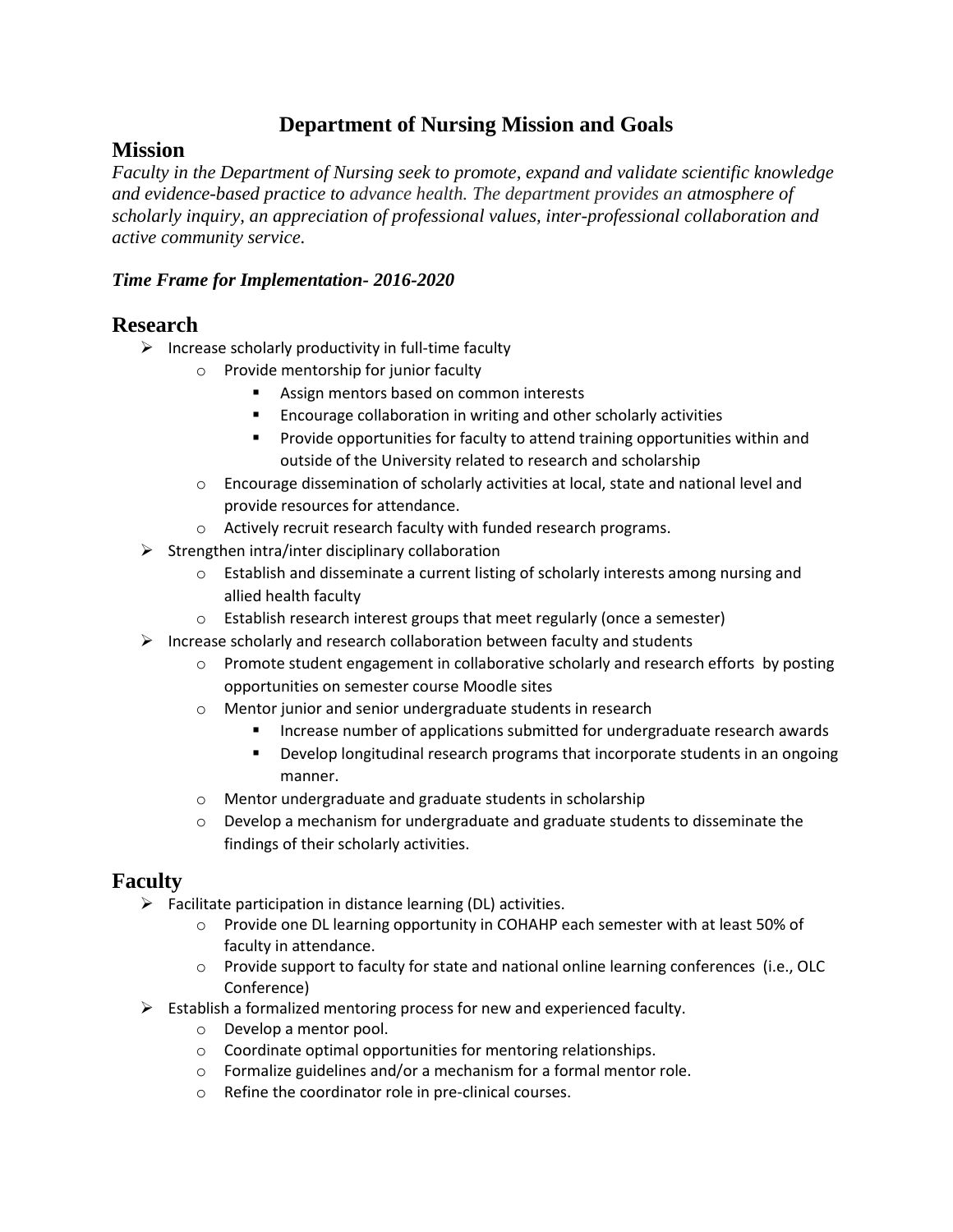# **Department of Nursing Mission and Goals**

## **Mission**

*Faculty in the Department of Nursing seek to promote, expand and validate scientific knowledge and evidence-based practice to advance health. The department provides an atmosphere of scholarly inquiry, an appreciation of professional values, inter-professional collaboration and active community service.*

### *Time Frame for Implementation- 2016-2020*

# **Research**

- $\triangleright$  Increase scholarly productivity in full-time faculty
	- o Provide mentorship for junior faculty
		- **Assign mentors based on common interests**
		- Encourage collaboration in writing and other scholarly activities
		- Provide opportunities for faculty to attend training opportunities within and outside of the University related to research and scholarship
	- o Encourage dissemination of scholarly activities at local, state and national level and provide resources for attendance.
	- o Actively recruit research faculty with funded research programs.
- $\triangleright$  Strengthen intra/inter disciplinary collaboration
	- o Establish and disseminate a current listing of scholarly interests among nursing and allied health faculty
	- o Establish research interest groups that meet regularly (once a semester)
- $\triangleright$  Increase scholarly and research collaboration between faculty and students
	- $\circ$  Promote student engagement in collaborative scholarly and research efforts by posting opportunities on semester course Moodle sites
	- o Mentor junior and senior undergraduate students in research
		- Increase number of applications submitted for undergraduate research awards
		- Develop longitudinal research programs that incorporate students in an ongoing manner.
	- o Mentor undergraduate and graduate students in scholarship
	- $\circ$  Develop a mechanism for undergraduate and graduate students to disseminate the findings of their scholarly activities.

## **Faculty**

- $\triangleright$  Facilitate participation in distance learning (DL) activities.
	- o Provide one DL learning opportunity in COHAHP each semester with at least 50% of faculty in attendance.
	- o Provide support to faculty for state and national online learning conferences (i.e., OLC Conference)
- $\triangleright$  Establish a formalized mentoring process for new and experienced faculty.
	- o Develop a mentor pool.
	- o Coordinate optimal opportunities for mentoring relationships.
	- o Formalize guidelines and/or a mechanism for a formal mentor role.
	- o Refine the coordinator role in pre-clinical courses.